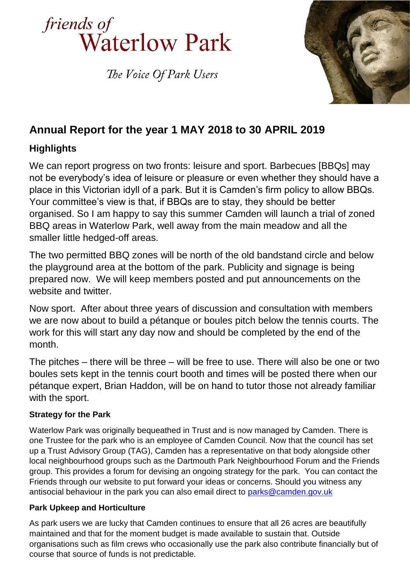

The Voice Of Park Users



# **Annual Report for the year 1 MAY 2018 to 30 APRIL 2019**

# **Highlights**

We can report progress on two fronts: leisure and sport. Barbecues [BBQs] may not be everybody's idea of leisure or pleasure or even whether they should have a place in this Victorian idyll of a park. But it is Camden's firm policy to allow BBQs. Your committee's view is that, if BBQs are to stay, they should be better organised. So I am happy to say this summer Camden will launch a trial of zoned BBQ areas in Waterlow Park, well away from the main meadow and all the smaller little hedged-off areas.

The two permitted BBQ zones will be north of the old bandstand circle and below the playground area at the bottom of the park. Publicity and signage is being prepared now. We will keep members posted and put announcements on the website and twitter.

Now sport. After about three years of discussion and consultation with members we are now about to build a pétanque or boules pitch below the tennis courts. The work for this will start any day now and should be completed by the end of the month.

The pitches – there will be three – will be free to use. There will also be one or two boules sets kept in the tennis court booth and times will be posted there when our pétanque expert, Brian Haddon, will be on hand to tutor those not already familiar with the sport.

# **Strategy for the Park**

Waterlow Park was originally bequeathed in Trust and is now managed by Camden. There is one Trustee for the park who is an employee of Camden Council. Now that the council has set up a Trust Advisory Group (TAG), Camden has a representative on that body alongside other local neighbourhood groups such as the Dartmouth Park Neighbourhood Forum and the Friends group. This provides a forum for devising an ongoing strategy for the park. You can contact the Friends through our website to put forward your ideas or concerns. Should you witness any antisocial behaviour in the park you can also email direct to [parks@camden.gov.uk](mailto:parks@camden.gov.uk)

# **Park Upkeep and Horticulture**

As park users we are lucky that Camden continues to ensure that all 26 acres are beautifully maintained and that for the moment budget is made available to sustain that. Outside organisations such as film crews who occasionally use the park also contribute financially but of course that source of funds is not predictable.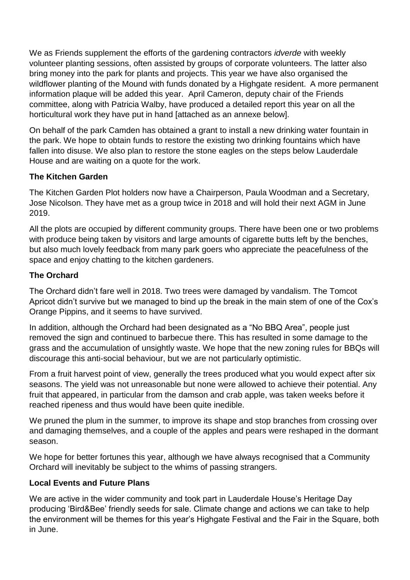We as Friends supplement the efforts of the gardening contractors *idverde* with weekly volunteer planting sessions, often assisted by groups of corporate volunteers. The latter also bring money into the park for plants and projects. This year we have also organised the wildflower planting of the Mound with funds donated by a Highgate resident. A more permanent information plaque will be added this year. April Cameron, deputy chair of the Friends committee, along with Patricia Walby, have produced a detailed report this year on all the horticultural work they have put in hand [attached as an annexe below].

On behalf of the park Camden has obtained a grant to install a new drinking water fountain in the park. We hope to obtain funds to restore the existing two drinking fountains which have fallen into disuse. We also plan to restore the stone eagles on the steps below Lauderdale House and are waiting on a quote for the work.

#### **The Kitchen Garden**

The Kitchen Garden Plot holders now have a Chairperson, Paula Woodman and a Secretary, Jose Nicolson. They have met as a group twice in 2018 and will hold their next AGM in June 2019.

All the plots are occupied by different community groups. There have been one or two problems with produce being taken by visitors and large amounts of cigarette butts left by the benches, but also much lovely feedback from many park goers who appreciate the peacefulness of the space and enjoy chatting to the kitchen gardeners.

#### **The Orchard**

The Orchard didn't fare well in 2018. Two trees were damaged by vandalism. The Tomcot Apricot didn't survive but we managed to bind up the break in the main stem of one of the Cox's Orange Pippins, and it seems to have survived.

In addition, although the Orchard had been designated as a "No BBQ Area", people just removed the sign and continued to barbecue there. This has resulted in some damage to the grass and the accumulation of unsightly waste. We hope that the new zoning rules for BBQs will discourage this anti-social behaviour, but we are not particularly optimistic.

From a fruit harvest point of view, generally the trees produced what you would expect after six seasons. The yield was not unreasonable but none were allowed to achieve their potential. Any fruit that appeared, in particular from the damson and crab apple, was taken weeks before it reached ripeness and thus would have been quite inedible.

We pruned the plum in the summer, to improve its shape and stop branches from crossing over and damaging themselves, and a couple of the apples and pears were reshaped in the dormant season.

We hope for better fortunes this year, although we have always recognised that a Community Orchard will inevitably be subject to the whims of passing strangers.

#### **Local Events and Future Plans**

We are active in the wider community and took part in Lauderdale House's Heritage Day producing 'Bird&Bee' friendly seeds for sale. Climate change and actions we can take to help the environment will be themes for this year's Highgate Festival and the Fair in the Square, both in June.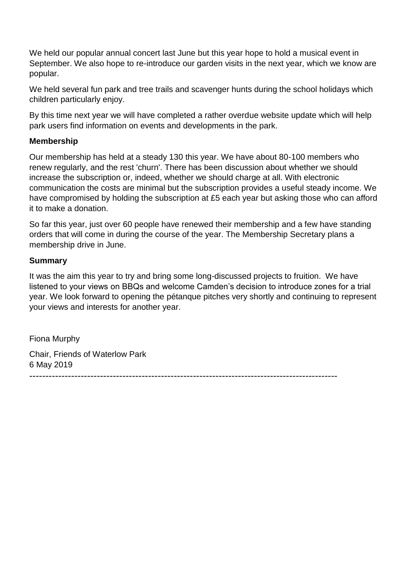We held our popular annual concert last June but this year hope to hold a musical event in September. We also hope to re-introduce our garden visits in the next year, which we know are popular.

We held several fun park and tree trails and scavenger hunts during the school holidays which children particularly enjoy.

By this time next year we will have completed a rather overdue website update which will help park users find information on events and developments in the park.

#### **Membership**

Our membership has held at a steady 130 this year. We have about 80-100 members who renew regularly, and the rest 'churn'. There has been discussion about whether we should increase the subscription or, indeed, whether we should charge at all. With electronic communication the costs are minimal but the subscription provides a useful steady income. We have compromised by holding the subscription at £5 each year but asking those who can afford it to make a donation.

So far this year, just over 60 people have renewed their membership and a few have standing orders that will come in during the course of the year. The Membership Secretary plans a membership drive in June.

#### **Summary**

It was the aim this year to try and bring some long-discussed projects to fruition. We have listened to your views on BBQs and welcome Camden's decision to introduce zones for a trial year. We look forward to opening the pétanque pitches very shortly and continuing to represent your views and interests for another year.

Fiona Murphy Chair, Friends of Waterlow Park 6 May 2019

------------------------------------------------------------------------------------------------